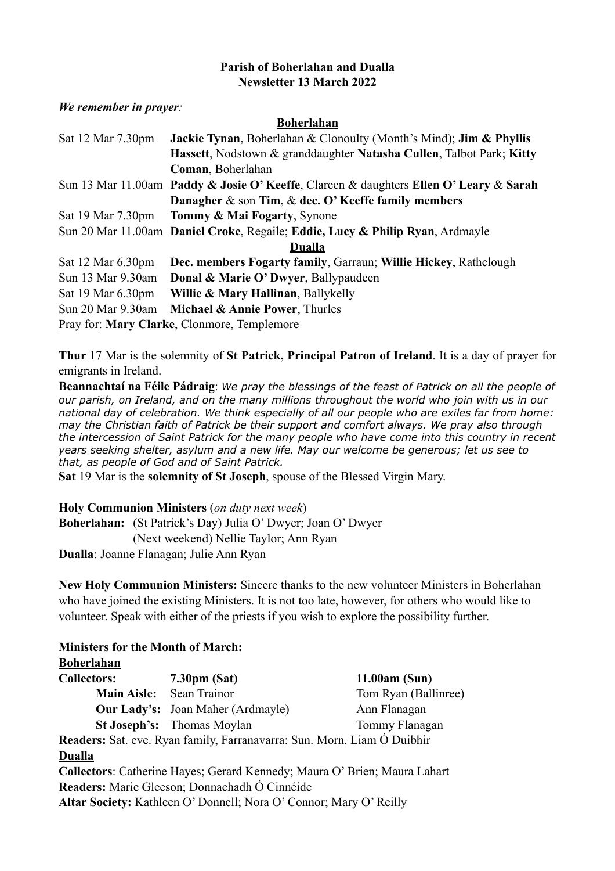### **Parish of Boherlahan and Dualla Newsletter 13 March 2022**

#### *We remember in prayer:*

#### **Boherlahan**

| Sat 12 Mar 7.30pm                           | <b>Jackie Tynan, Boherlahan &amp; Clonoulty (Month's Mind); Jim &amp; Phyllis</b>      |  |  |
|---------------------------------------------|----------------------------------------------------------------------------------------|--|--|
|                                             | Hassett, Nodstown & granddaughter Natasha Cullen, Talbot Park; Kitty                   |  |  |
|                                             | Coman, Boherlahan                                                                      |  |  |
|                                             | Sun 13 Mar 11.00am Paddy & Josie O' Keeffe, Clareen & daughters Ellen O' Leary & Sarah |  |  |
|                                             | Danagher & son Tim, & dec. O' Keeffe family members                                    |  |  |
| Sat 19 Mar 7.30pm                           | <b>Tommy &amp; Mai Fogarty, Synone</b>                                                 |  |  |
|                                             | Sun 20 Mar 11.00am Daniel Croke, Regaile; Eddie, Lucy & Philip Ryan, Ardmayle          |  |  |
| <b>Dualla</b>                               |                                                                                        |  |  |
| Sat 12 Mar 6.30pm                           | Dec. members Fogarty family, Garraun; Willie Hickey, Rathclough                        |  |  |
| Sun 13 Mar 9.30am                           | Donal & Marie O' Dwyer, Ballypaudeen                                                   |  |  |
| Sat 19 Mar 6.30pm                           | Willie & Mary Hallinan, Ballykelly                                                     |  |  |
| Sun 20 Mar 9.30am                           | <b>Michael &amp; Annie Power, Thurles</b>                                              |  |  |
| Pray for: Mary Clarke, Clonmore, Templemore |                                                                                        |  |  |

**Thur** 17 Mar is the solemnity of **St Patrick, Principal Patron of Ireland**. It is a day of prayer for emigrants in Ireland.

**Beannachtaí na Féile Pádraig**: *We pray the blessings of the feast of Patrick on all the people of our parish, on Ireland, and on the many millions throughout the world who join with us in our national day of celebration. We think especially of all our people who are exiles far from home: may the Christian faith of Patrick be their support and comfort always. We pray also through the intercession of Saint Patrick for the many people who have come into this country in recent years seeking shelter, asylum and a new life. May our welcome be generous; let us see to that, as people of God and of Saint Patrick.*

**Sat** 19 Mar is the **solemnity of St Joseph**, spouse of the Blessed Virgin Mary.

**Holy Communion Ministers** (*on duty next week*)

**Boherlahan:** (St Patrick's Day) Julia O' Dwyer; Joan O' Dwyer (Next weekend) Nellie Taylor; Ann Ryan

**Dualla**: Joanne Flanagan; Julie Ann Ryan

**New Holy Communion Ministers:** Sincere thanks to the new volunteer Ministers in Boherlahan who have joined the existing Ministers. It is not too late, however, for others who would like to volunteer. Speak with either of the priests if you wish to explore the possibility further.

### **Ministers for the Month of March:**

**Boherlahan**

| <b>B</b> onerianan                                                      |                                                                           |                      |  |
|-------------------------------------------------------------------------|---------------------------------------------------------------------------|----------------------|--|
| <b>Collectors:</b>                                                      | $7.30pm$ (Sat)                                                            | 11.00am(Sun)         |  |
| Main Aisle: Sean Trainor                                                |                                                                           | Tom Ryan (Ballinree) |  |
|                                                                         | <b>Our Lady's:</b> Joan Maher (Ardmayle)                                  | Ann Flanagan         |  |
|                                                                         | <b>St Joseph's:</b> Thomas Moylan                                         | Tommy Flanagan       |  |
| Readers: Sat. eve. Ryan family, Farranavarra: Sun. Morn. Liam Ó Duibhir |                                                                           |                      |  |
| <b>Dualla</b>                                                           |                                                                           |                      |  |
|                                                                         | Collectors: Catherine Hayes; Gerard Kennedy; Maura O' Brien; Maura Lahart |                      |  |
|                                                                         | Readers: Marie Gleeson; Donnachadh Ó Cinnéide                             |                      |  |

```
Altar Society: Kathleen O' Donnell; Nora O' Connor; Mary O' Reilly
```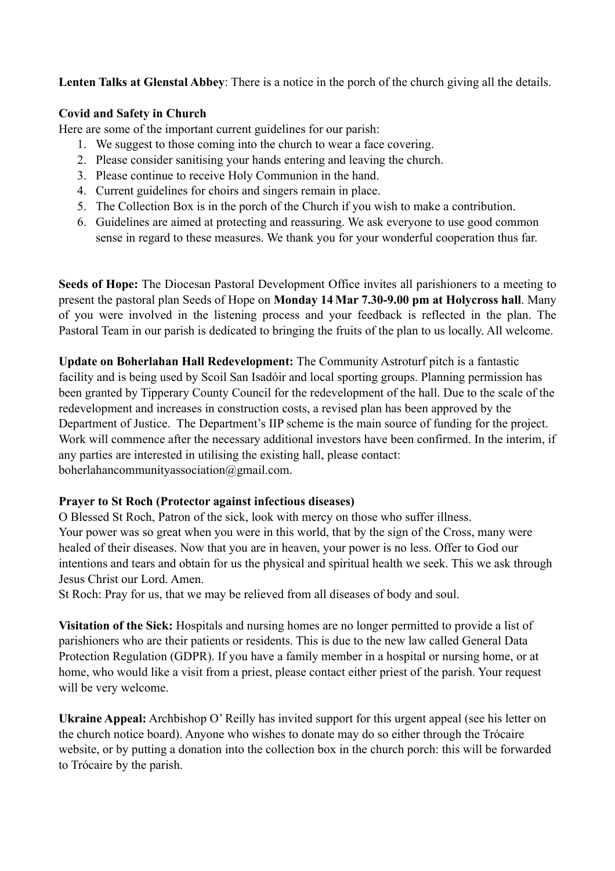**Lenten Talks at Glenstal Abbey**: There is a notice in the porch of the church giving all the details.

## **Covid and Safety in Church**

Here are some of the important current guidelines for our parish:

- 1. We suggest to those coming into the church to wear a face covering.
- 2. Please consider sanitising your hands entering and leaving the church.
- 3. Please continue to receive Holy Communion in the hand.
- 4. Current guidelines for choirs and singers remain in place.
- 5. The Collection Box is in the porch of the Church if you wish to make a contribution.
- 6. Guidelines are aimed at protecting and reassuring. We ask everyone to use good common sense in regard to these measures. We thank you for your wonderful cooperation thus far.

**Seeds of Hope:** The Diocesan Pastoral Development Office invites all parishioners to a meeting to present the pastoral plan Seeds of Hope on **Monday 14 Mar 7.30-9.00 pm at Holycross hall**. Many of you were involved in the listening process and your feedback is reflected in the plan. The Pastoral Team in our parish is dedicated to bringing the fruits of the plan to us locally. All welcome.

**Update on Boherlahan Hall Redevelopment:** The Community Astroturf pitch is a fantastic facility and is being used by Scoil San Isadóir and local sporting groups. Planning permission has been granted by Tipperary County Council for the redevelopment of the hall. Due to the scale of the redevelopment and increases in construction costs, a revised plan has been approved by the Department of Justice. The Department's IIP scheme is the main source of funding for the project. Work will commence after the necessary additional investors have been confirmed. In the interim, if any parties are interested in utilising the existing hall, please contact: boherlahancommunityassociation@gmail.com.

# **Prayer to St Roch (Protector against infectious diseases)**

O Blessed St Roch, Patron of the sick, look with mercy on those who suffer illness. Your power was so great when you were in this world, that by the sign of the Cross, many were healed of their diseases. Now that you are in heaven, your power is no less. Offer to God our intentions and tears and obtain for us the physical and spiritual health we seek. This we ask through Jesus Christ our Lord. Amen.

St Roch: Pray for us, that we may be relieved from all diseases of body and soul.

**Visitation of the Sick:** Hospitals and nursing homes are no longer permitted to provide a list of parishioners who are their patients or residents. This is due to the new law called General Data Protection Regulation (GDPR). If you have a family member in a hospital or nursing home, or at home, who would like a visit from a priest, please contact either priest of the parish. Your request will be very welcome.

**Ukraine Appeal:** Archbishop O' Reilly has invited support for this urgent appeal (see his letter on the church notice board). Anyone who wishes to donate may do so either through the Trócaire website, or by putting a donation into the collection box in the church porch: this will be forwarded to Trócaire by the parish.